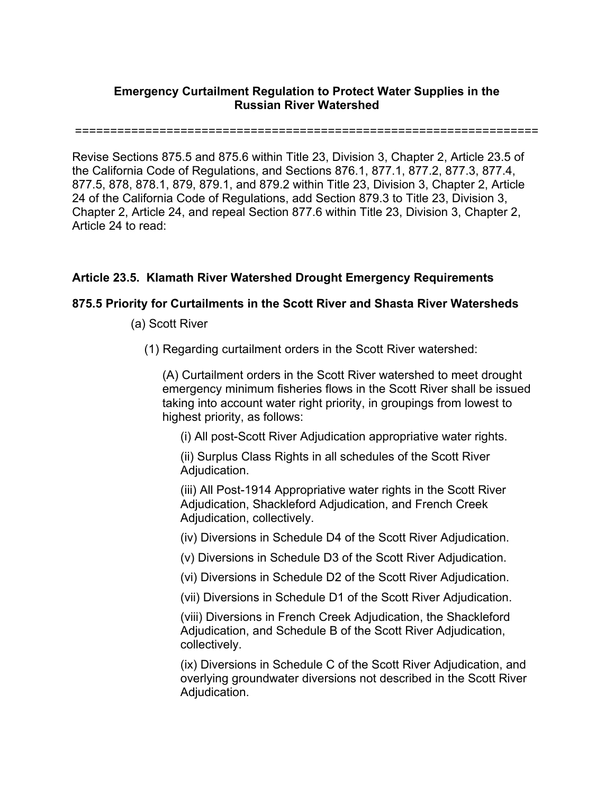## **Emergency Curtailment Regulation to Protect Water Supplies in the Russian River Watershed**

==================================================================

Revise Sections 875.5 and 875.6 within Title 23, Division 3, Chapter 2, Article 23.5 of the California Code of Regulations, and Sections 876.1, 877.1, 877.2, 877.3, 877.4, 877.5, 878, 878.1, 879, 879.1, and 879.2 within Title 23, Division 3, Chapter 2, Article 24 of the California Code of Regulations, add Section 879.3 to Title 23, Division 3, Chapter 2, Article 24, and repeal Section 877.6 within Title 23, Division 3, Chapter 2, Article 24 to read:

## **Article 23.5. Klamath River Watershed Drought Emergency Requirements**

## **875.5 Priority for Curtailments in the Scott River and Shasta River Watersheds**

- (a) Scott River
	- (1) Regarding curtailment orders in the Scott River watershed:

(A) Curtailment orders in the Scott River watershed to meet drought emergency minimum fisheries flows in the Scott River shall be issued taking into account water right priority, in groupings from lowest to highest priority, as follows:

(i) All post-Scott River Adjudication appropriative water rights.

(ii) Surplus Class Rights in all schedules of the Scott River Adjudication.

(iii) All Post-1914 Appropriative water rights in the Scott River Adjudication, Shackleford Adjudication, and French Creek Adjudication, collectively.

(iv) Diversions in Schedule D4 of the Scott River Adjudication.

(v) Diversions in Schedule D3 of the Scott River Adjudication.

(vi) Diversions in Schedule D2 of the Scott River Adjudication.

(vii) Diversions in Schedule D1 of the Scott River Adjudication.

(viii) Diversions in French Creek Adjudication, the Shackleford Adjudication, and Schedule B of the Scott River Adjudication, collectively.

(ix) Diversions in Schedule C of the Scott River Adjudication, and overlying groundwater diversions not described in the Scott River Adjudication.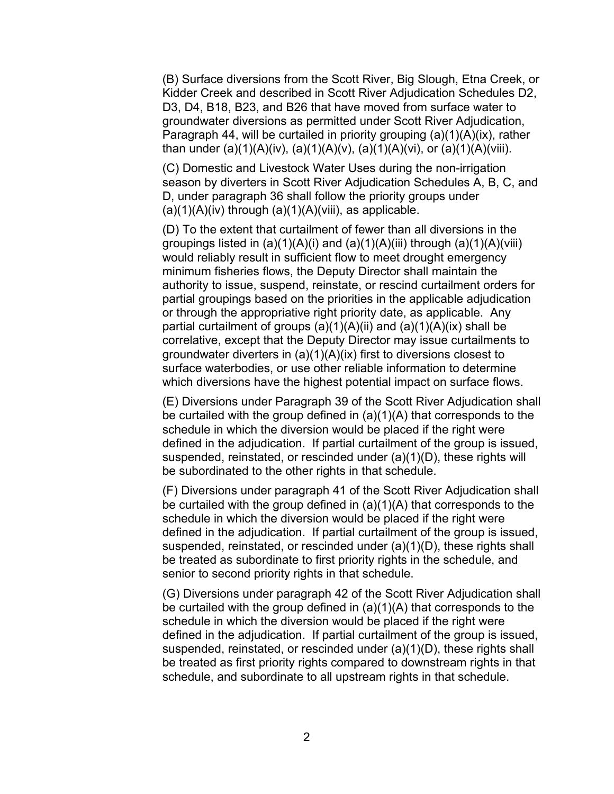(B) Surface diversions from the Scott River, Big Slough, Etna Creek, or Kidder Creek and described in Scott River Adjudication Schedules D2, D3, D4, B18, B23, and B26 that have moved from surface water to groundwater diversions as permitted under Scott River Adjudication, Paragraph 44, will be curtailed in priority grouping (a)(1)(A)(ix), rather than under (a)(1)(A)(iv), (a)(1)(A)(v), (a)(1)(A)(vi), or (a)(1)(A)(viii).

(C) Domestic and Livestock Water Uses during the non-irrigation season by diverters in Scott River Adjudication Schedules A, B, C, and D, under paragraph 36 shall follow the priority groups under  $(a)(1)(A)(iv)$  through  $(a)(1)(A)(viii)$ , as applicable.

(D) To the extent that curtailment of fewer than all diversions in the groupings listed in  $(a)(1)(A)(i)$  and  $(a)(1)(A)(iii)$  through  $(a)(1)(A)(viii)$ would reliably result in sufficient flow to meet drought emergency minimum fisheries flows, the Deputy Director shall maintain the authority to issue, suspend, reinstate, or rescind curtailment orders for partial groupings based on the priorities in the applicable adjudication or through the appropriative right priority date, as applicable. Any partial curtailment of groups  $(a)(1)(A)(ii)$  and  $(a)(1)(A)(ix)$  shall be correlative, except that the Deputy Director may issue curtailments to groundwater diverters in (a)(1)(A)(ix) first to diversions closest to surface waterbodies, or use other reliable information to determine which diversions have the highest potential impact on surface flows.

(E) Diversions under Paragraph 39 of the Scott River Adjudication shall be curtailed with the group defined in (a)(1)(A) that corresponds to the schedule in which the diversion would be placed if the right were defined in the adjudication. If partial curtailment of the group is issued, suspended, reinstated, or rescinded under (a)(1)(D), these rights will be subordinated to the other rights in that schedule.

(F) Diversions under paragraph 41 of the Scott River Adjudication shall be curtailed with the group defined in (a)(1)(A) that corresponds to the schedule in which the diversion would be placed if the right were defined in the adjudication. If partial curtailment of the group is issued, suspended, reinstated, or rescinded under (a)(1)(D), these rights shall be treated as subordinate to first priority rights in the schedule, and senior to second priority rights in that schedule.

(G) Diversions under paragraph 42 of the Scott River Adjudication shall be curtailed with the group defined in (a)(1)(A) that corresponds to the schedule in which the diversion would be placed if the right were defined in the adjudication. If partial curtailment of the group is issued, suspended, reinstated, or rescinded under (a)(1)(D), these rights shall be treated as first priority rights compared to downstream rights in that schedule, and subordinate to all upstream rights in that schedule.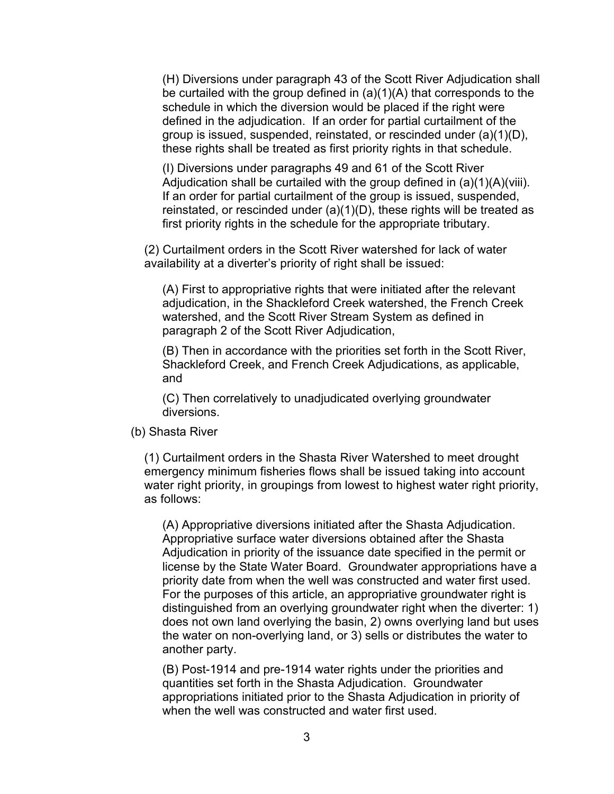(H) Diversions under paragraph 43 of the Scott River Adjudication shall be curtailed with the group defined in (a)(1)(A) that corresponds to the schedule in which the diversion would be placed if the right were defined in the adjudication. If an order for partial curtailment of the group is issued, suspended, reinstated, or rescinded under (a)(1)(D), these rights shall be treated as first priority rights in that schedule.

(I) Diversions under paragraphs 49 and 61 of the Scott River Adjudication shall be curtailed with the group defined in (a)(1)(A)(viii). If an order for partial curtailment of the group is issued, suspended, reinstated, or rescinded under (a)(1)(D), these rights will be treated as first priority rights in the schedule for the appropriate tributary.

(2) Curtailment orders in the Scott River watershed for lack of water availability at a diverter's priority of right shall be issued:

(A) First to appropriative rights that were initiated after the relevant adjudication, in the Shackleford Creek watershed, the French Creek watershed, and the Scott River Stream System as defined in paragraph 2 of the Scott River Adjudication,

(B) Then in accordance with the priorities set forth in the Scott River, Shackleford Creek, and French Creek Adjudications, as applicable, and

(C) Then correlatively to unadjudicated overlying groundwater diversions.

(b) Shasta River

(1) Curtailment orders in the Shasta River Watershed to meet drought emergency minimum fisheries flows shall be issued taking into account water right priority, in groupings from lowest to highest water right priority, as follows:

(A) Appropriative diversions initiated after the Shasta Adjudication. Appropriative surface water diversions obtained after the Shasta Adjudication in priority of the issuance date specified in the permit or license by the State Water Board. Groundwater appropriations have a priority date from when the well was constructed and water first used. For the purposes of this article, an appropriative groundwater right is distinguished from an overlying groundwater right when the diverter: 1) does not own land overlying the basin, 2) owns overlying land but uses the water on non-overlying land, or 3) sells or distributes the water to another party.

(B) Post-1914 and pre-1914 water rights under the priorities and quantities set forth in the Shasta Adjudication. Groundwater appropriations initiated prior to the Shasta Adjudication in priority of when the well was constructed and water first used.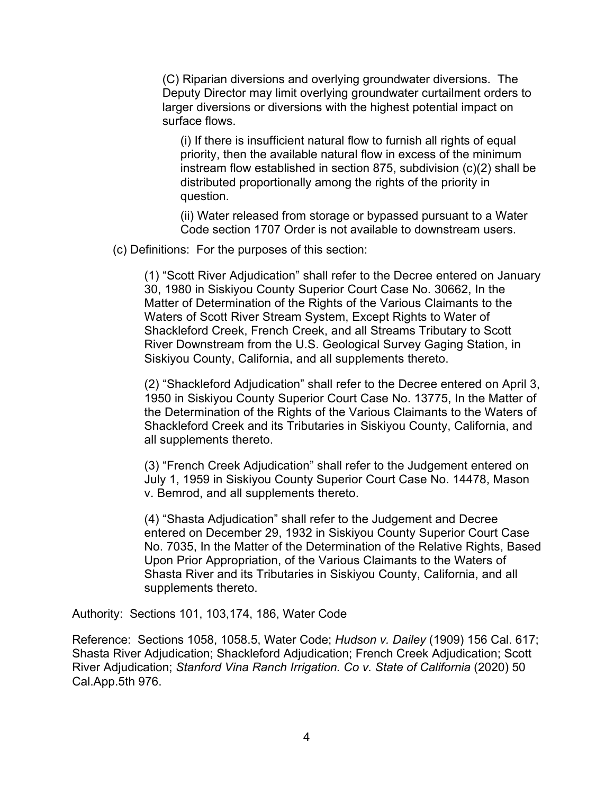(C) Riparian diversions and overlying groundwater diversions. The Deputy Director may limit overlying groundwater curtailment orders to larger diversions or diversions with the highest potential impact on surface flows.

(i) If there is insufficient natural flow to furnish all rights of equal priority, then the available natural flow in excess of the minimum instream flow established in section 875, subdivision (c)(2) shall be distributed proportionally among the rights of the priority in question.

(ii) Water released from storage or bypassed pursuant to a Water Code section 1707 Order is not available to downstream users.

(c) Definitions: For the purposes of this section:

(1) "Scott River Adjudication" shall refer to the Decree entered on January 30, 1980 in Siskiyou County Superior Court Case No. 30662, In the Matter of Determination of the Rights of the Various Claimants to the Waters of Scott River Stream System, Except Rights to Water of Shackleford Creek, French Creek, and all Streams Tributary to Scott River Downstream from the U.S. Geological Survey Gaging Station, in Siskiyou County, California, and all supplements thereto.

(2) "Shackleford Adjudication" shall refer to the Decree entered on April 3, 1950 in Siskiyou County Superior Court Case No. 13775, In the Matter of the Determination of the Rights of the Various Claimants to the Waters of Shackleford Creek and its Tributaries in Siskiyou County, California, and all supplements thereto.

(3) "French Creek Adjudication" shall refer to the Judgement entered on July 1, 1959 in Siskiyou County Superior Court Case No. 14478, Mason v. Bemrod, and all supplements thereto.

(4) "Shasta Adjudication" shall refer to the Judgement and Decree entered on December 29, 1932 in Siskiyou County Superior Court Case No. 7035, In the Matter of the Determination of the Relative Rights, Based Upon Prior Appropriation, of the Various Claimants to the Waters of Shasta River and its Tributaries in Siskiyou County, California, and all supplements thereto.

Authority: Sections 101, 103,174, 186, Water Code

Reference: Sections 1058, 1058.5, Water Code; *Hudson v. Dailey* (1909) 156 Cal. 617; Shasta River Adjudication; Shackleford Adjudication; French Creek Adjudication; Scott River Adjudication; *Stanford Vina Ranch Irrigation. Co v. State of California* (2020) 50 Cal.App.5th 976.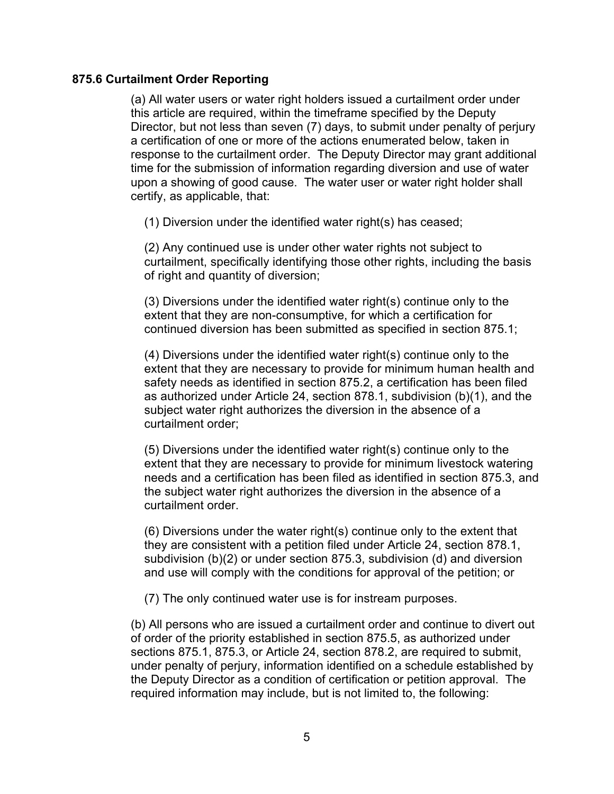#### **875.6 Curtailment Order Reporting**

(a) All water users or water right holders issued a curtailment order under this article are required, within the timeframe specified by the Deputy Director, but not less than seven (7) days, to submit under penalty of perjury a certification of one or more of the actions enumerated below, taken in response to the curtailment order. The Deputy Director may grant additional time for the submission of information regarding diversion and use of water upon a showing of good cause. The water user or water right holder shall certify, as applicable, that:

(1) Diversion under the identified water right(s) has ceased;

(2) Any continued use is under other water rights not subject to curtailment, specifically identifying those other rights, including the basis of right and quantity of diversion;

(3) Diversions under the identified water right(s) continue only to the extent that they are non-consumptive, for which a certification for continued diversion has been submitted as specified in section 875.1;

(4) Diversions under the identified water right(s) continue only to the extent that they are necessary to provide for minimum human health and safety needs as identified in section 875.2, a certification has been filed as authorized under Article 24, section 878.1, subdivision (b)(1), and the subject water right authorizes the diversion in the absence of a curtailment order;

(5) Diversions under the identified water right(s) continue only to the extent that they are necessary to provide for minimum livestock watering needs and a certification has been filed as identified in section 875.3, and the subject water right authorizes the diversion in the absence of a curtailment order.

(6) Diversions under the water right(s) continue only to the extent that they are consistent with a petition filed under Article 24, section 878.1, subdivision (b)(2) or under section 875.3, subdivision (d) and diversion and use will comply with the conditions for approval of the petition; or

(7) The only continued water use is for instream purposes.

(b) All persons who are issued a curtailment order and continue to divert out of order of the priority established in section 875.5, as authorized under sections 875.1, 875.3, or Article 24, section 878.2, are required to submit, under penalty of perjury, information identified on a schedule established by the Deputy Director as a condition of certification or petition approval. The required information may include, but is not limited to, the following: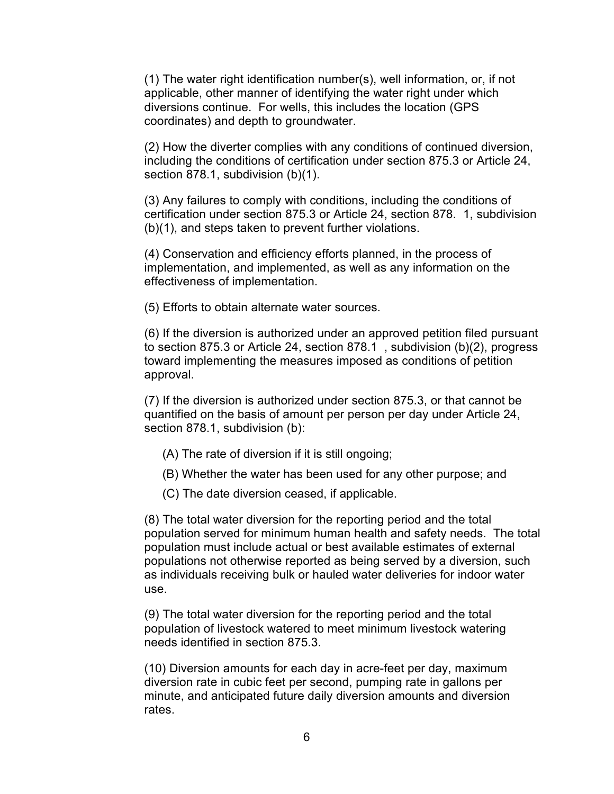(1) The water right identification number(s), well information, or, if not applicable, other manner of identifying the water right under which diversions continue. For wells, this includes the location (GPS coordinates) and depth to groundwater.

(2) How the diverter complies with any conditions of continued diversion, including the conditions of certification under section 875.3 or Article 24, section 878.1, subdivision (b)(1).

(3) Any failures to comply with conditions, including the conditions of certification under section 875.3 or Article 24, section 878. 1, subdivision (b)(1), and steps taken to prevent further violations.

(4) Conservation and efficiency efforts planned, in the process of implementation, and implemented, as well as any information on the effectiveness of implementation.

(5) Efforts to obtain alternate water sources.

(6) If the diversion is authorized under an approved petition filed pursuant to section 875.3 or Article 24, section 878.1 , subdivision (b)(2), progress toward implementing the measures imposed as conditions of petition approval.

(7) If the diversion is authorized under section 875.3, or that cannot be quantified on the basis of amount per person per day under Article 24, section 878.1, subdivision (b):

(A) The rate of diversion if it is still ongoing;

- (B) Whether the water has been used for any other purpose; and
- (C) The date diversion ceased, if applicable.

(8) The total water diversion for the reporting period and the total population served for minimum human health and safety needs. The total population must include actual or best available estimates of external populations not otherwise reported as being served by a diversion, such as individuals receiving bulk or hauled water deliveries for indoor water use.

(9) The total water diversion for the reporting period and the total population of livestock watered to meet minimum livestock watering needs identified in section 875.3.

(10) Diversion amounts for each day in acre-feet per day, maximum diversion rate in cubic feet per second, pumping rate in gallons per minute, and anticipated future daily diversion amounts and diversion rates.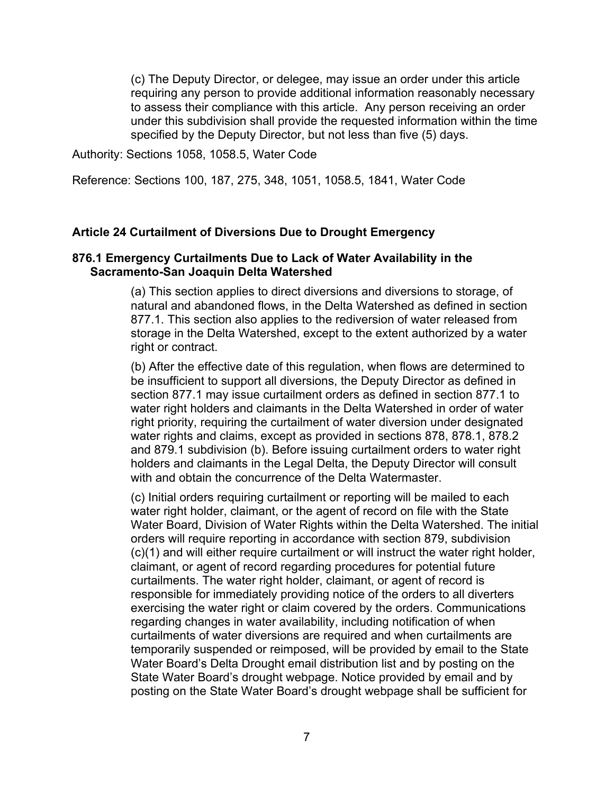(c) The Deputy Director, or delegee, may issue an order under this article requiring any person to provide additional information reasonably necessary to assess their compliance with this article. Any person receiving an order under this subdivision shall provide the requested information within the time specified by the Deputy Director, but not less than five (5) days.

Authority: Sections 1058, 1058.5, Water Code

Reference: Sections 100, 187, 275, 348, 1051, 1058.5, 1841, Water Code

#### **Article 24 Curtailment of Diversions Due to Drought Emergency**

#### **876.1 Emergency Curtailments Due to Lack of Water Availability in the Sacramento-San Joaquin Delta Watershed**

(a) This section applies to direct diversions and diversions to storage, of natural and abandoned flows, in the Delta Watershed as defined in section 877.1. This section also applies to the rediversion of water released from storage in the Delta Watershed, except to the extent authorized by a water right or contract.

(b) After the effective date of this regulation, when flows are determined to be insufficient to support all diversions, the Deputy Director as defined in section 877.1 may issue curtailment orders as defined in section 877.1 to water right holders and claimants in the Delta Watershed in order of water right priority, requiring the curtailment of water diversion under designated water rights and claims, except as provided in sections 878, 878.1, 878.2 and 879.1 subdivision (b). Before issuing curtailment orders to water right holders and claimants in the Legal Delta, the Deputy Director will consult with and obtain the concurrence of the Delta Watermaster.

(c) Initial orders requiring curtailment or reporting will be mailed to each water right holder, claimant, or the agent of record on file with the State Water Board, Division of Water Rights within the Delta Watershed. The initial orders will require reporting in accordance with section 879, subdivision (c)(1) and will either require curtailment or will instruct the water right holder, claimant, or agent of record regarding procedures for potential future curtailments. The water right holder, claimant, or agent of record is responsible for immediately providing notice of the orders to all diverters exercising the water right or claim covered by the orders. Communications regarding changes in water availability, including notification of when curtailments of water diversions are required and when curtailments are temporarily suspended or reimposed, will be provided by email to the State Water Board's Delta Drought email distribution list and by posting on the State Water Board's drought webpage. Notice provided by email and by posting on the State Water Board's drought webpage shall be sufficient for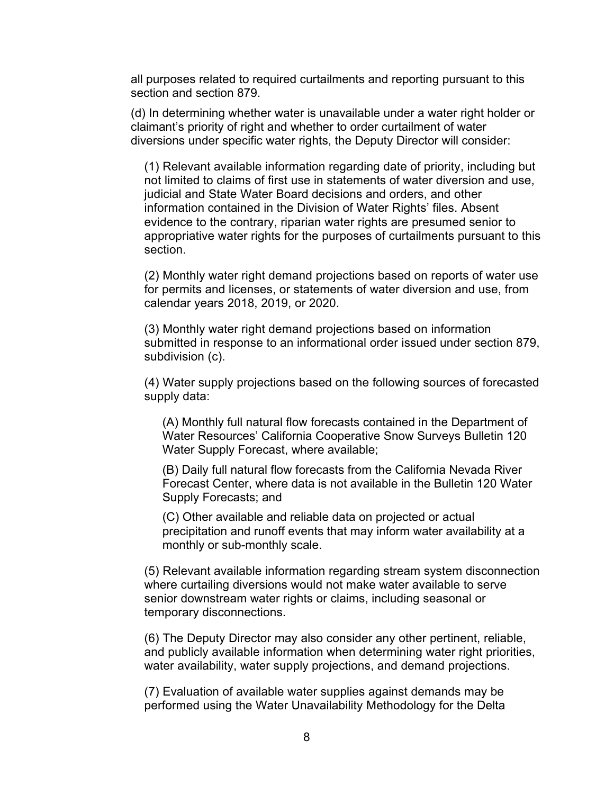all purposes related to required curtailments and reporting pursuant to this section and section 879.

(d) In determining whether water is unavailable under a water right holder or claimant's priority of right and whether to order curtailment of water diversions under specific water rights, the Deputy Director will consider:

(1) Relevant available information regarding date of priority, including but not limited to claims of first use in statements of water diversion and use, judicial and State Water Board decisions and orders, and other information contained in the Division of Water Rights' files. Absent evidence to the contrary, riparian water rights are presumed senior to appropriative water rights for the purposes of curtailments pursuant to this section.

(2) Monthly water right demand projections based on reports of water use for permits and licenses, or statements of water diversion and use, from calendar years 2018, 2019, or 2020.

(3) Monthly water right demand projections based on information submitted in response to an informational order issued under section 879, subdivision (c).

(4) Water supply projections based on the following sources of forecasted supply data:

(A) Monthly full natural flow forecasts contained in the Department of Water Resources' California Cooperative Snow Surveys Bulletin 120 Water Supply Forecast, where available;

(B) Daily full natural flow forecasts from the California Nevada River Forecast Center, where data is not available in the Bulletin 120 Water Supply Forecasts; and

(C) Other available and reliable data on projected or actual precipitation and runoff events that may inform water availability at a monthly or sub-monthly scale.

(5) Relevant available information regarding stream system disconnection where curtailing diversions would not make water available to serve senior downstream water rights or claims, including seasonal or temporary disconnections.

(6) The Deputy Director may also consider any other pertinent, reliable, and publicly available information when determining water right priorities, water availability, water supply projections, and demand projections.

(7) Evaluation of available water supplies against demands may be performed using the Water Unavailability Methodology for the Delta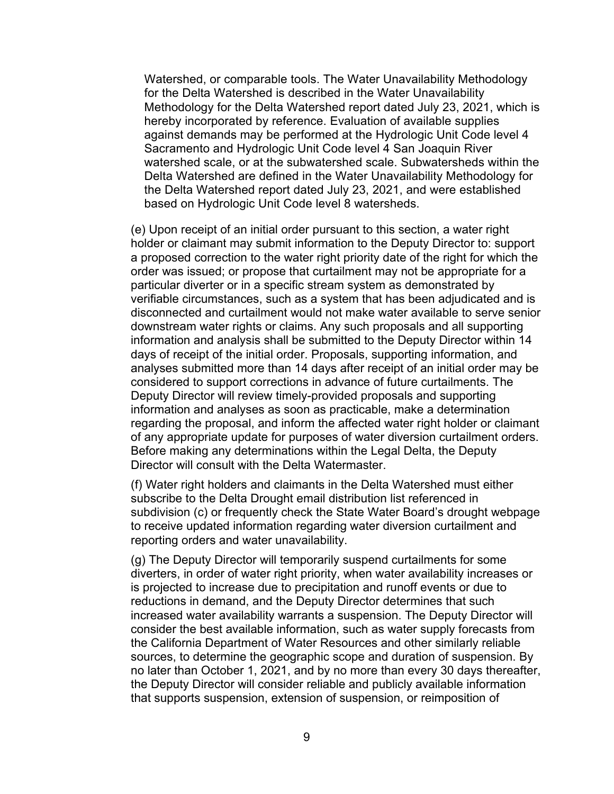Watershed, or comparable tools. The Water Unavailability Methodology for the Delta Watershed is described in the Water Unavailability Methodology for the Delta Watershed report dated July 23, 2021, which is hereby incorporated by reference. Evaluation of available supplies against demands may be performed at the Hydrologic Unit Code level 4 Sacramento and Hydrologic Unit Code level 4 San Joaquin River watershed scale, or at the subwatershed scale. Subwatersheds within the Delta Watershed are defined in the Water Unavailability Methodology for the Delta Watershed report dated July 23, 2021, and were established based on Hydrologic Unit Code level 8 watersheds.

(e) Upon receipt of an initial order pursuant to this section, a water right holder or claimant may submit information to the Deputy Director to: support a proposed correction to the water right priority date of the right for which the order was issued; or propose that curtailment may not be appropriate for a particular diverter or in a specific stream system as demonstrated by verifiable circumstances, such as a system that has been adjudicated and is disconnected and curtailment would not make water available to serve senior downstream water rights or claims. Any such proposals and all supporting information and analysis shall be submitted to the Deputy Director within 14 days of receipt of the initial order. Proposals, supporting information, and analyses submitted more than 14 days after receipt of an initial order may be considered to support corrections in advance of future curtailments. The Deputy Director will review timely-provided proposals and supporting information and analyses as soon as practicable, make a determination regarding the proposal, and inform the affected water right holder or claimant of any appropriate update for purposes of water diversion curtailment orders. Before making any determinations within the Legal Delta, the Deputy Director will consult with the Delta Watermaster.

(f) Water right holders and claimants in the Delta Watershed must either subscribe to the Delta Drought email distribution list referenced in subdivision (c) or frequently check the State Water Board's drought webpage to receive updated information regarding water diversion curtailment and reporting orders and water unavailability.

(g) The Deputy Director will temporarily suspend curtailments for some diverters, in order of water right priority, when water availability increases or is projected to increase due to precipitation and runoff events or due to reductions in demand, and the Deputy Director determines that such increased water availability warrants a suspension. The Deputy Director will consider the best available information, such as water supply forecasts from the California Department of Water Resources and other similarly reliable sources, to determine the geographic scope and duration of suspension. By no later than October 1, 2021, and by no more than every 30 days thereafter, the Deputy Director will consider reliable and publicly available information that supports suspension, extension of suspension, or reimposition of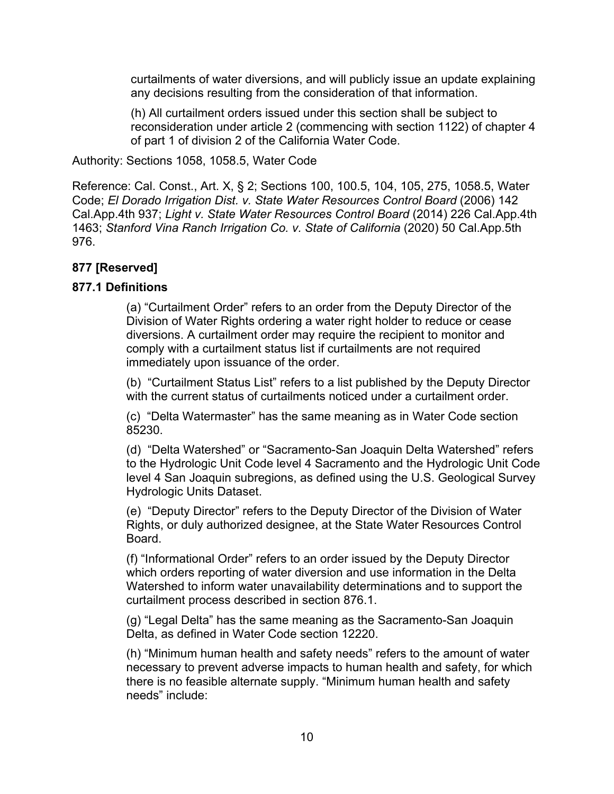curtailments of water diversions, and will publicly issue an update explaining any decisions resulting from the consideration of that information.

(h) All curtailment orders issued under this section shall be subject to reconsideration under article 2 (commencing with section 1122) of chapter 4 of part 1 of division 2 of the California Water Code.

Authority: Sections 1058, 1058.5, Water Code

Reference: Cal. Const., Art. X, § 2; Sections 100, 100.5, 104, 105, 275, 1058.5, Water Code; *El Dorado Irrigation Dist. v. State Water Resources Control Board* (2006) 142 Cal.App.4th 937; *Light v. State Water Resources Control Board* (2014) 226 Cal.App.4th 1463; *Stanford Vina Ranch Irrigation Co. v. State of California* (2020) 50 Cal.App.5th 976.

# **877 [Reserved]**

# **877.1 Definitions**

(a) "Curtailment Order" refers to an order from the Deputy Director of the Division of Water Rights ordering a water right holder to reduce or cease diversions. A curtailment order may require the recipient to monitor and comply with a curtailment status list if curtailments are not required immediately upon issuance of the order.

(b) "Curtailment Status List" refers to a list published by the Deputy Director with the current status of curtailments noticed under a curtailment order.

(c) "Delta Watermaster" has the same meaning as in Water Code section 85230.

(d) "Delta Watershed" or "Sacramento-San Joaquin Delta Watershed" refers to the Hydrologic Unit Code level 4 Sacramento and the Hydrologic Unit Code level 4 San Joaquin subregions, as defined using the U.S. Geological Survey Hydrologic Units Dataset.

(e) "Deputy Director" refers to the Deputy Director of the Division of Water Rights, or duly authorized designee, at the State Water Resources Control Board.

(f) "Informational Order" refers to an order issued by the Deputy Director which orders reporting of water diversion and use information in the Delta Watershed to inform water unavailability determinations and to support the curtailment process described in section 876.1.

(g) "Legal Delta" has the same meaning as the Sacramento-San Joaquin Delta, as defined in Water Code section 12220.

(h) "Minimum human health and safety needs" refers to the amount of water necessary to prevent adverse impacts to human health and safety, for which there is no feasible alternate supply. "Minimum human health and safety needs" include: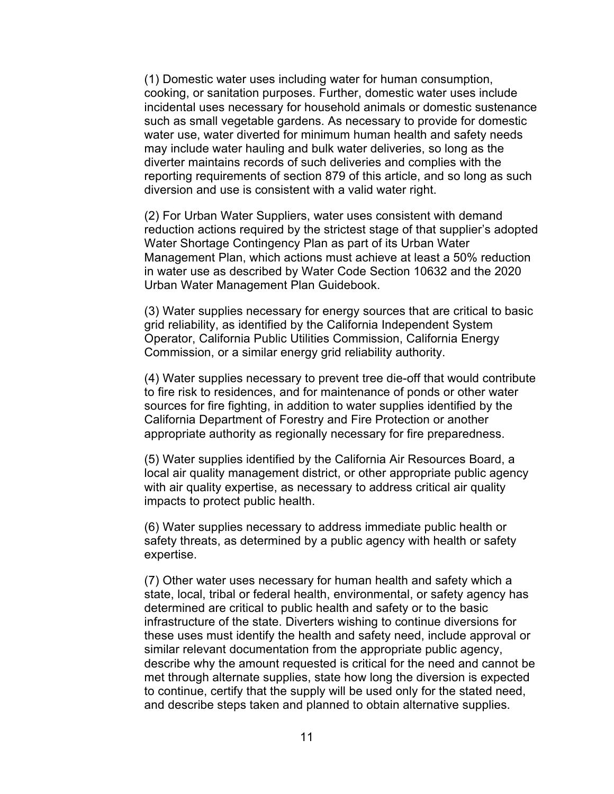(1) Domestic water uses including water for human consumption, cooking, or sanitation purposes. Further, domestic water uses include incidental uses necessary for household animals or domestic sustenance such as small vegetable gardens. As necessary to provide for domestic water use, water diverted for minimum human health and safety needs may include water hauling and bulk water deliveries, so long as the diverter maintains records of such deliveries and complies with the reporting requirements of section 879 of this article, and so long as such diversion and use is consistent with a valid water right.

(2) For Urban Water Suppliers, water uses consistent with demand reduction actions required by the strictest stage of that supplier's adopted Water Shortage Contingency Plan as part of its Urban Water Management Plan, which actions must achieve at least a 50% reduction in water use as described by Water Code Section 10632 and the 2020 Urban Water Management Plan Guidebook.

(3) Water supplies necessary for energy sources that are critical to basic grid reliability, as identified by the California Independent System Operator, California Public Utilities Commission, California Energy Commission, or a similar energy grid reliability authority.

(4) Water supplies necessary to prevent tree die-off that would contribute to fire risk to residences, and for maintenance of ponds or other water sources for fire fighting, in addition to water supplies identified by the California Department of Forestry and Fire Protection or another appropriate authority as regionally necessary for fire preparedness.

(5) Water supplies identified by the California Air Resources Board, a local air quality management district, or other appropriate public agency with air quality expertise, as necessary to address critical air quality impacts to protect public health.

(6) Water supplies necessary to address immediate public health or safety threats, as determined by a public agency with health or safety expertise.

(7) Other water uses necessary for human health and safety which a state, local, tribal or federal health, environmental, or safety agency has determined are critical to public health and safety or to the basic infrastructure of the state. Diverters wishing to continue diversions for these uses must identify the health and safety need, include approval or similar relevant documentation from the appropriate public agency, describe why the amount requested is critical for the need and cannot be met through alternate supplies, state how long the diversion is expected to continue, certify that the supply will be used only for the stated need, and describe steps taken and planned to obtain alternative supplies.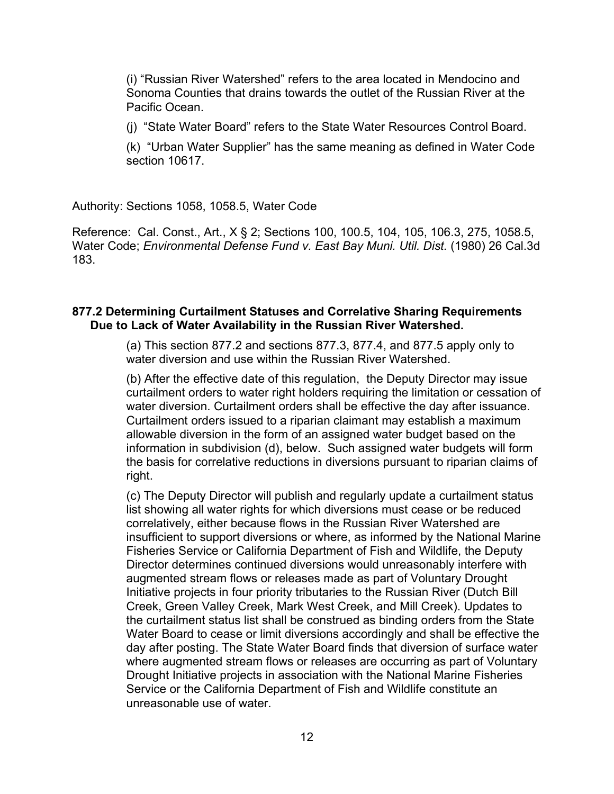(i) "Russian River Watershed" refers to the area located in Mendocino and Sonoma Counties that drains towards the outlet of the Russian River at the Pacific Ocean.

(j) "State Water Board" refers to the State Water Resources Control Board.

(k) "Urban Water Supplier" has the same meaning as defined in Water Code section 10617.

Authority: Sections 1058, 1058.5, Water Code

Reference: Cal. Const., Art., X § 2; Sections 100, 100.5, 104, 105, 106.3, 275, 1058.5, Water Code; *Environmental Defense Fund v. East Bay Muni. Util. Dist.* (1980) 26 Cal.3d 183.

#### **877.2 Determining Curtailment Statuses and Correlative Sharing Requirements Due to Lack of Water Availability in the Russian River Watershed.**

(a) This section 877.2 and sections 877.3, 877.4, and 877.5 apply only to water diversion and use within the Russian River Watershed.

(b) After the effective date of this regulation, the Deputy Director may issue curtailment orders to water right holders requiring the limitation or cessation of water diversion. Curtailment orders shall be effective the day after issuance. Curtailment orders issued to a riparian claimant may establish a maximum allowable diversion in the form of an assigned water budget based on the information in subdivision (d), below. Such assigned water budgets will form the basis for correlative reductions in diversions pursuant to riparian claims of right.

(c) The Deputy Director will publish and regularly update a curtailment status list showing all water rights for which diversions must cease or be reduced correlatively, either because flows in the Russian River Watershed are insufficient to support diversions or where, as informed by the National Marine Fisheries Service or California Department of Fish and Wildlife, the Deputy Director determines continued diversions would unreasonably interfere with augmented stream flows or releases made as part of Voluntary Drought Initiative projects in four priority tributaries to the Russian River (Dutch Bill Creek, Green Valley Creek, Mark West Creek, and Mill Creek). Updates to the curtailment status list shall be construed as binding orders from the State Water Board to cease or limit diversions accordingly and shall be effective the day after posting. The State Water Board finds that diversion of surface water where augmented stream flows or releases are occurring as part of Voluntary Drought Initiative projects in association with the National Marine Fisheries Service or the California Department of Fish and Wildlife constitute an unreasonable use of water.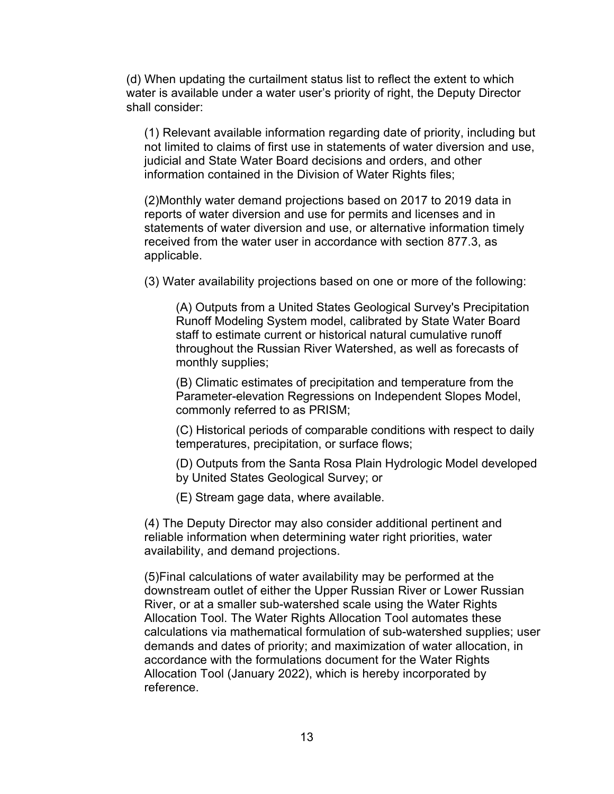(d) When updating the curtailment status list to reflect the extent to which water is available under a water user's priority of right, the Deputy Director shall consider:

(1) Relevant available information regarding date of priority, including but not limited to claims of first use in statements of water diversion and use, judicial and State Water Board decisions and orders, and other information contained in the Division of Water Rights files;

(2)Monthly water demand projections based on 2017 to 2019 data in reports of water diversion and use for permits and licenses and in statements of water diversion and use, or alternative information timely received from the water user in accordance with section 877.3, as applicable.

(3) Water availability projections based on one or more of the following:

(A) Outputs from a United States Geological Survey's Precipitation Runoff Modeling System model, calibrated by State Water Board staff to estimate current or historical natural cumulative runoff throughout the Russian River Watershed, as well as forecasts of monthly supplies;

(B) Climatic estimates of precipitation and temperature from the Parameter-elevation Regressions on Independent Slopes Model, commonly referred to as PRISM;

(C) Historical periods of comparable conditions with respect to daily temperatures, precipitation, or surface flows;

(D) Outputs from the Santa Rosa Plain Hydrologic Model developed by United States Geological Survey; or

(E) Stream gage data, where available.

(4) The Deputy Director may also consider additional pertinent and reliable information when determining water right priorities, water availability, and demand projections.

(5)Final calculations of water availability may be performed at the downstream outlet of either the Upper Russian River or Lower Russian River, or at a smaller sub-watershed scale using the Water Rights Allocation Tool. The Water Rights Allocation Tool automates these calculations via mathematical formulation of sub-watershed supplies; user demands and dates of priority; and maximization of water allocation, in accordance with the formulations document for the Water Rights Allocation Tool (January 2022), which is hereby incorporated by reference.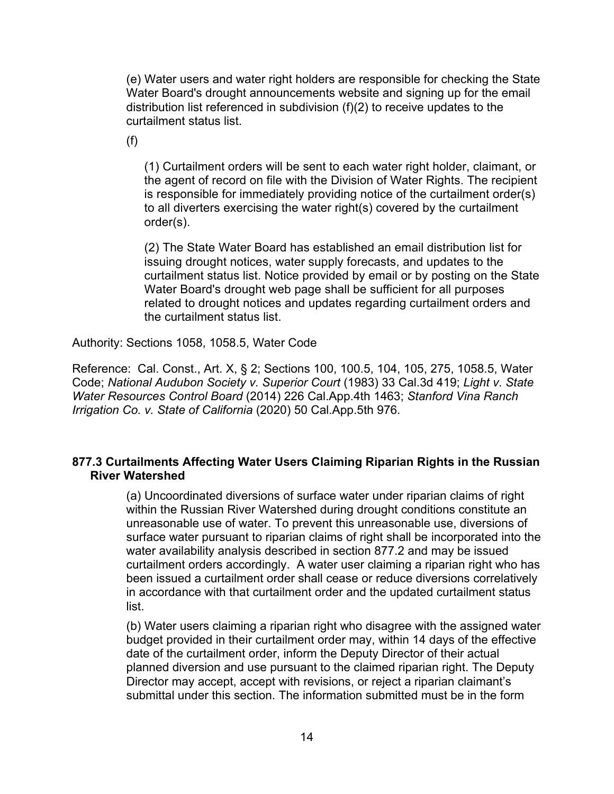(e) Water users and water right holders are responsible for checking the State Water Board's drought announcements website and signing up for the email distribution list referenced in subdivision (f)(2) to receive updates to the curtailment status list.

(f)

(1) Curtailment orders will be sent to each water right holder, claimant, or the agent of record on file with the Division of Water Rights. The recipient is responsible for immediately providing notice of the curtailment order(s) to all diverters exercising the water right(s) covered by the curtailment order(s).

(2) The State Water Board has established an email distribution list for issuing drought notices, water supply forecasts, and updates to the curtailment status list. Notice provided by email or by posting on the State Water Board's drought web page shall be sufficient for all purposes related to drought notices and updates regarding curtailment orders and the curtailment status list.

Authority: Sections 1058, 1058.5, Water Code

Reference: Cal. Const., Art. X, § 2; Sections 100, 100.5, 104, 105, 275, 1058.5, Water Code; *National Audubon Society v. Superior Court* (1983) 33 Cal.3d 419; *Light v. State Water Resources Control Board* (2014) 226 Cal.App.4th 1463; *Stanford Vina Ranch Irrigation Co. v. State of California* (2020) 50 Cal.App.5th 976.

## **877.3 Curtailments Affecting Water Users Claiming Riparian Rights in the Russian River Watershed**

(a) Uncoordinated diversions of surface water under riparian claims of right within the Russian River Watershed during drought conditions constitute an unreasonable use of water. To prevent this unreasonable use, diversions of surface water pursuant to riparian claims of right shall be incorporated into the water availability analysis described in section 877.2 and may be issued curtailment orders accordingly. A water user claiming a riparian right who has been issued a curtailment order shall cease or reduce diversions correlatively in accordance with that curtailment order and the updated curtailment status list.

(b) Water users claiming a riparian right who disagree with the assigned water budget provided in their curtailment order may, within 14 days of the effective date of the curtailment order, inform the Deputy Director of their actual planned diversion and use pursuant to the claimed riparian right. The Deputy Director may accept, accept with revisions, or reject a riparian claimant's submittal under this section. The information submitted must be in the form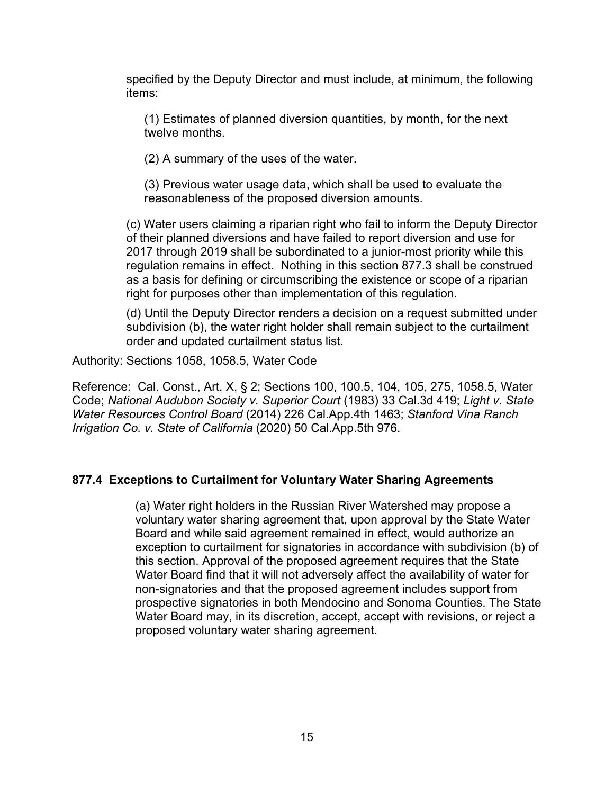specified by the Deputy Director and must include, at minimum, the following items:

(1) Estimates of planned diversion quantities, by month, for the next twelve months.

(2) A summary of the uses of the water.

(3) Previous water usage data, which shall be used to evaluate the reasonableness of the proposed diversion amounts.

(c) Water users claiming a riparian right who fail to inform the Deputy Director of their planned diversions and have failed to report diversion and use for 2017 through 2019 shall be subordinated to a junior-most priority while this regulation remains in effect. Nothing in this section 877.3 shall be construed as a basis for defining or circumscribing the existence or scope of a riparian right for purposes other than implementation of this regulation.

(d) Until the Deputy Director renders a decision on a request submitted under subdivision (b), the water right holder shall remain subject to the curtailment order and updated curtailment status list.

Authority: Sections 1058, 1058.5, Water Code

Reference: Cal. Const., Art. X, § 2; Sections 100, 100.5, 104, 105, 275, 1058.5, Water Code; *National Audubon Society v. Superior Court* (1983) 33 Cal.3d 419; *Light v. State Water Resources Control Board* (2014) 226 Cal.App.4th 1463; *Stanford Vina Ranch Irrigation Co. v. State of California* (2020) 50 Cal.App.5th 976.

## **877.4 Exceptions to Curtailment for Voluntary Water Sharing Agreements**

(a) Water right holders in the Russian River Watershed may propose a voluntary water sharing agreement that, upon approval by the State Water Board and while said agreement remained in effect, would authorize an exception to curtailment for signatories in accordance with subdivision (b) of this section. Approval of the proposed agreement requires that the State Water Board find that it will not adversely affect the availability of water for non-signatories and that the proposed agreement includes support from prospective signatories in both Mendocino and Sonoma Counties. The State Water Board may, in its discretion, accept, accept with revisions, or reject a proposed voluntary water sharing agreement.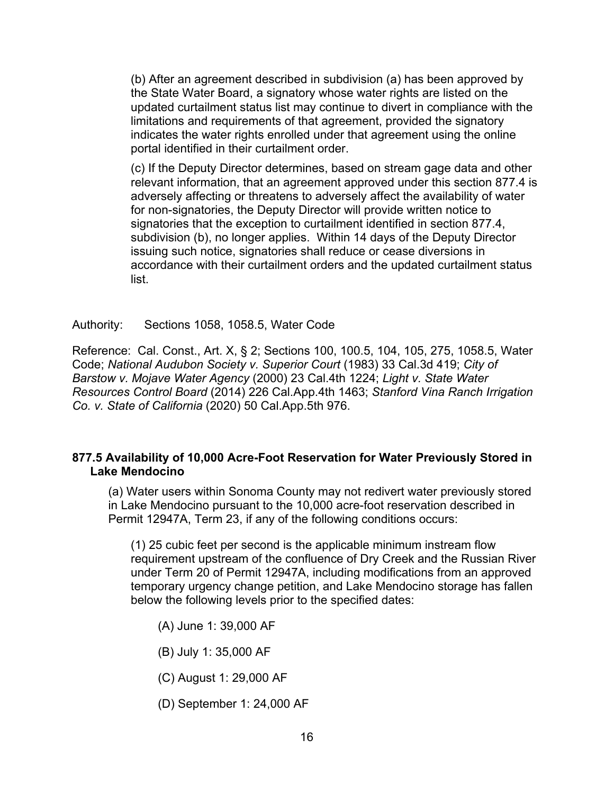(b) After an agreement described in subdivision (a) has been approved by the State Water Board, a signatory whose water rights are listed on the updated curtailment status list may continue to divert in compliance with the limitations and requirements of that agreement, provided the signatory indicates the water rights enrolled under that agreement using the online portal identified in their curtailment order.

(c) If the Deputy Director determines, based on stream gage data and other relevant information, that an agreement approved under this section 877.4 is adversely affecting or threatens to adversely affect the availability of water for non-signatories, the Deputy Director will provide written notice to signatories that the exception to curtailment identified in section 877.4, subdivision (b), no longer applies. Within 14 days of the Deputy Director issuing such notice, signatories shall reduce or cease diversions in accordance with their curtailment orders and the updated curtailment status list.

Authority: Sections 1058, 1058.5, Water Code

Reference: Cal. Const., Art. X, § 2; Sections 100, 100.5, 104, 105, 275, 1058.5, Water Code; *National Audubon Society v. Superior Court* (1983) 33 Cal.3d 419; *City of Barstow v. Mojave Water Agency* (2000) 23 Cal.4th 1224; *Light v. State Water Resources Control Board* (2014) 226 Cal.App.4th 1463; *Stanford Vina Ranch Irrigation Co. v. State of California* (2020) 50 Cal.App.5th 976.

# **877.5 Availability of 10,000 Acre-Foot Reservation for Water Previously Stored in Lake Mendocino**

(a) Water users within Sonoma County may not redivert water previously stored in Lake Mendocino pursuant to the 10,000 acre-foot reservation described in Permit 12947A, Term 23, if any of the following conditions occurs:

(1) 25 cubic feet per second is the applicable minimum instream flow requirement upstream of the confluence of Dry Creek and the Russian River under Term 20 of Permit 12947A, including modifications from an approved temporary urgency change petition, and Lake Mendocino storage has fallen below the following levels prior to the specified dates:

- (A) June 1: 39,000 AF
- (B) July 1: 35,000 AF
- (C) August 1: 29,000 AF
- (D) September 1: 24,000 AF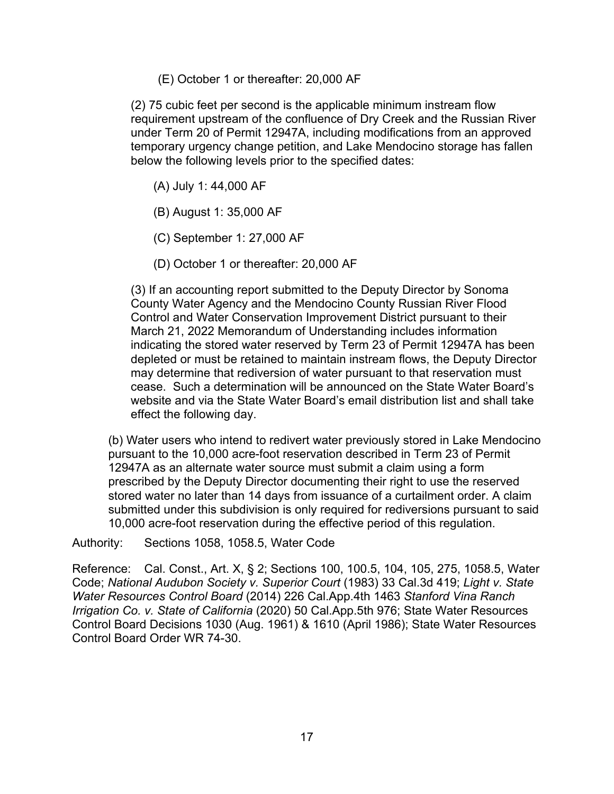(E) October 1 or thereafter: 20,000 AF

(2) 75 cubic feet per second is the applicable minimum instream flow requirement upstream of the confluence of Dry Creek and the Russian River under Term 20 of Permit 12947A, including modifications from an approved temporary urgency change petition, and Lake Mendocino storage has fallen below the following levels prior to the specified dates:

- (A) July 1: 44,000 AF
- (B) August 1: 35,000 AF
- (C) September 1: 27,000 AF
- (D) October 1 or thereafter: 20,000 AF

(3) If an accounting report submitted to the Deputy Director by Sonoma County Water Agency and the Mendocino County Russian River Flood Control and Water Conservation Improvement District pursuant to their March 21, 2022 Memorandum of Understanding includes information indicating the stored water reserved by Term 23 of Permit 12947A has been depleted or must be retained to maintain instream flows, the Deputy Director may determine that rediversion of water pursuant to that reservation must cease. Such a determination will be announced on the State Water Board's website and via the State Water Board's email distribution list and shall take effect the following day.

(b) Water users who intend to redivert water previously stored in Lake Mendocino pursuant to the 10,000 acre-foot reservation described in Term 23 of Permit 12947A as an alternate water source must submit a claim using a form prescribed by the Deputy Director documenting their right to use the reserved stored water no later than 14 days from issuance of a curtailment order. A claim submitted under this subdivision is only required for rediversions pursuant to said 10,000 acre-foot reservation during the effective period of this regulation.

Authority: Sections 1058, 1058.5, Water Code

Reference: Cal. Const., Art. X, § 2; Sections 100, 100.5, 104, 105, 275, 1058.5, Water Code; *National Audubon Society v. Superior Court* (1983) 33 Cal.3d 419; *Light v. State Water Resources Control Board* (2014) 226 Cal.App.4th 1463 *Stanford Vina Ranch Irrigation Co. v. State of California* (2020) 50 Cal.App.5th 976; State Water Resources Control Board Decisions 1030 (Aug. 1961) & 1610 (April 1986); State Water Resources Control Board Order WR 74-30.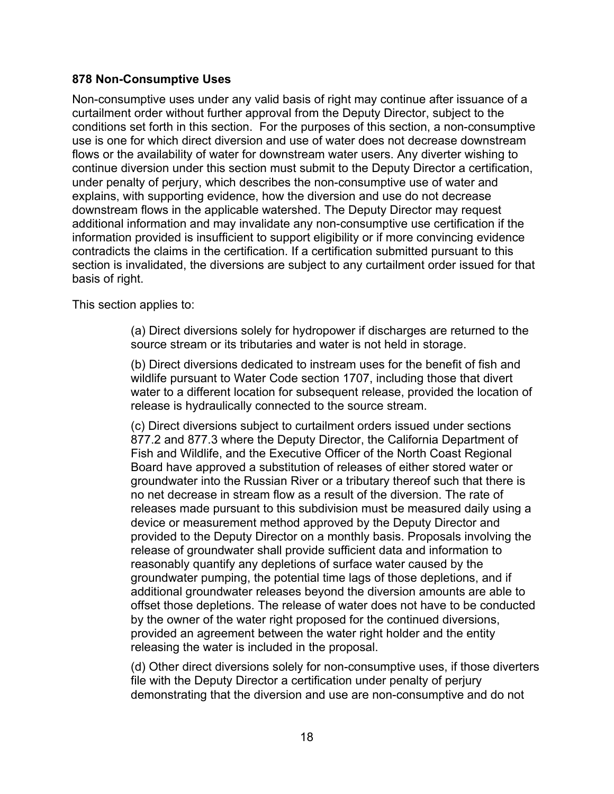## **878 Non-Consumptive Uses**

Non-consumptive uses under any valid basis of right may continue after issuance of a curtailment order without further approval from the Deputy Director, subject to the conditions set forth in this section. For the purposes of this section, a non-consumptive use is one for which direct diversion and use of water does not decrease downstream flows or the availability of water for downstream water users. Any diverter wishing to continue diversion under this section must submit to the Deputy Director a certification, under penalty of perjury, which describes the non-consumptive use of water and explains, with supporting evidence, how the diversion and use do not decrease downstream flows in the applicable watershed. The Deputy Director may request additional information and may invalidate any non-consumptive use certification if the information provided is insufficient to support eligibility or if more convincing evidence contradicts the claims in the certification. If a certification submitted pursuant to this section is invalidated, the diversions are subject to any curtailment order issued for that basis of right.

This section applies to:

(a) Direct diversions solely for hydropower if discharges are returned to the source stream or its tributaries and water is not held in storage.

(b) Direct diversions dedicated to instream uses for the benefit of fish and wildlife pursuant to Water Code section 1707, including those that divert water to a different location for subsequent release, provided the location of release is hydraulically connected to the source stream.

(c) Direct diversions subject to curtailment orders issued under sections 877.2 and 877.3 where the Deputy Director, the California Department of Fish and Wildlife, and the Executive Officer of the North Coast Regional Board have approved a substitution of releases of either stored water or groundwater into the Russian River or a tributary thereof such that there is no net decrease in stream flow as a result of the diversion. The rate of releases made pursuant to this subdivision must be measured daily using a device or measurement method approved by the Deputy Director and provided to the Deputy Director on a monthly basis. Proposals involving the release of groundwater shall provide sufficient data and information to reasonably quantify any depletions of surface water caused by the groundwater pumping, the potential time lags of those depletions, and if additional groundwater releases beyond the diversion amounts are able to offset those depletions. The release of water does not have to be conducted by the owner of the water right proposed for the continued diversions, provided an agreement between the water right holder and the entity releasing the water is included in the proposal.

(d) Other direct diversions solely for non-consumptive uses, if those diverters file with the Deputy Director a certification under penalty of perjury demonstrating that the diversion and use are non-consumptive and do not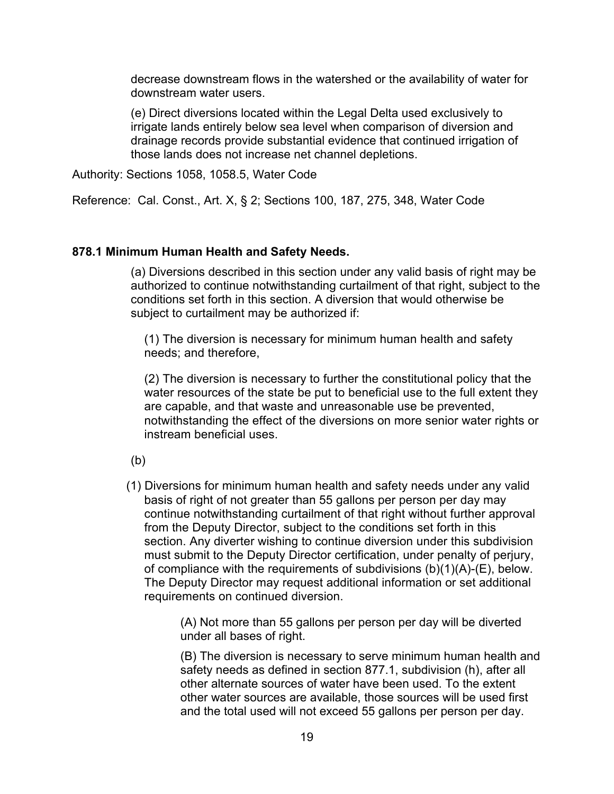decrease downstream flows in the watershed or the availability of water for downstream water users.

(e) Direct diversions located within the Legal Delta used exclusively to irrigate lands entirely below sea level when comparison of diversion and drainage records provide substantial evidence that continued irrigation of those lands does not increase net channel depletions.

Authority: Sections 1058, 1058.5, Water Code

Reference: Cal. Const., Art. X, § 2; Sections 100, 187, 275, 348, Water Code

#### **878.1 Minimum Human Health and Safety Needs.**

(a) Diversions described in this section under any valid basis of right may be authorized to continue notwithstanding curtailment of that right, subject to the conditions set forth in this section. A diversion that would otherwise be subject to curtailment may be authorized if:

(1) The diversion is necessary for minimum human health and safety needs; and therefore,

(2) The diversion is necessary to further the constitutional policy that the water resources of the state be put to beneficial use to the full extent they are capable, and that waste and unreasonable use be prevented, notwithstanding the effect of the diversions on more senior water rights or instream beneficial uses.

(b)

(1) Diversions for minimum human health and safety needs under any valid basis of right of not greater than 55 gallons per person per day may continue notwithstanding curtailment of that right without further approval from the Deputy Director, subject to the conditions set forth in this section. Any diverter wishing to continue diversion under this subdivision must submit to the Deputy Director certification, under penalty of perjury, of compliance with the requirements of subdivisions (b)(1)(A)-(E), below. The Deputy Director may request additional information or set additional requirements on continued diversion.

> (A) Not more than 55 gallons per person per day will be diverted under all bases of right.

(B) The diversion is necessary to serve minimum human health and safety needs as defined in section 877.1, subdivision (h), after all other alternate sources of water have been used. To the extent other water sources are available, those sources will be used first and the total used will not exceed 55 gallons per person per day.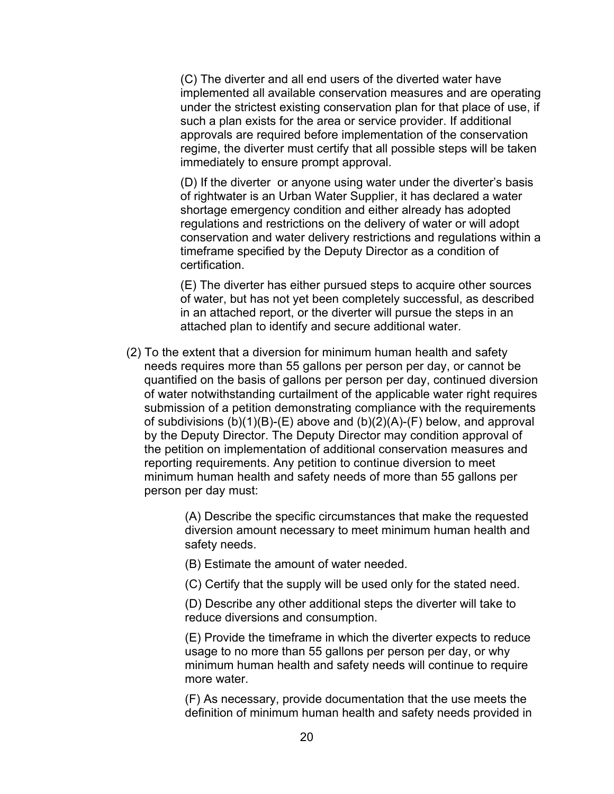(C) The diverter and all end users of the diverted water have implemented all available conservation measures and are operating under the strictest existing conservation plan for that place of use, if such a plan exists for the area or service provider. If additional approvals are required before implementation of the conservation regime, the diverter must certify that all possible steps will be taken immediately to ensure prompt approval.

(D) If the diverter or anyone using water under the diverter's basis of rightwater is an Urban Water Supplier, it has declared a water shortage emergency condition and either already has adopted regulations and restrictions on the delivery of water or will adopt conservation and water delivery restrictions and regulations within a timeframe specified by the Deputy Director as a condition of certification.

(E) The diverter has either pursued steps to acquire other sources of water, but has not yet been completely successful, as described in an attached report, or the diverter will pursue the steps in an attached plan to identify and secure additional water.

(2) To the extent that a diversion for minimum human health and safety needs requires more than 55 gallons per person per day, or cannot be quantified on the basis of gallons per person per day, continued diversion of water notwithstanding curtailment of the applicable water right requires submission of a petition demonstrating compliance with the requirements of subdivisions  $(b)(1)(B)-(E)$  above and  $(b)(2)(A)-(F)$  [below,](#page-19-0) and approval by the Deputy Director. The Deputy Director may condition approval of the petition on implementation of additional conservation measures and reporting requirements. Any petition to continue diversion to meet minimum human health and safety needs of more than 55 gallons per person per day must:

> (A) Describe the specific circumstances that make the requested diversion amount necessary to meet minimum human health and safety needs.

- (B) Estimate the amount of water needed.
- (C) Certify that the supply will be used only for the stated need.

(D) Describe any other additional steps the diverter will take to reduce diversions and consumption.

(E) Provide the timeframe in which the diverter expects to reduce usage to no more than 55 gallons per person per day, or why minimum human health and safety needs will continue to require more water.

<span id="page-19-0"></span>(F) As necessary, provide documentation that the use meets the definition of minimum human health and safety needs provided in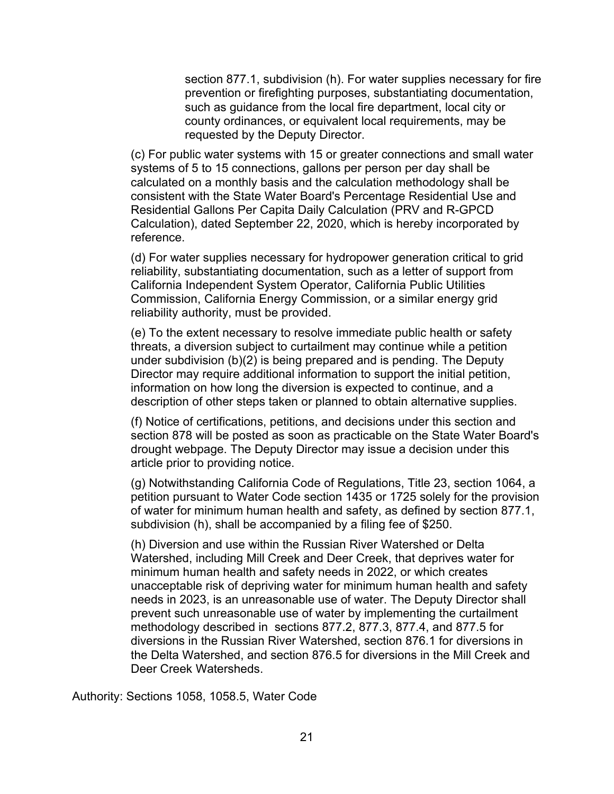section 877.1, subdivision (h). For water supplies necessary for fire prevention or firefighting purposes, substantiating documentation, such as guidance from the local fire department, local city or county ordinances, or equivalent local requirements, may be requested by the Deputy Director.

(c) For public water systems with 15 or greater connections and small water systems of 5 to 15 connections, gallons per person per day shall be calculated on a monthly basis and the calculation methodology shall be consistent with the State Water Board's Percentage Residential Use and Residential Gallons Per Capita Daily Calculation (PRV and R-GPCD Calculation), dated September 22, 2020, which is hereby incorporated by reference.

(d) For water supplies necessary for hydropower generation critical to grid reliability, substantiating documentation, such as a letter of support from California Independent System Operator, California Public Utilities Commission, California Energy Commission, or a similar energy grid reliability authority, must be provided.

(e) To the extent necessary to resolve immediate public health or safety threats, a diversion subject to curtailment may continue while a petition under subdivision (b)(2) is being prepared and is pending. The Deputy Director may require additional information to support the initial petition, information on how long the diversion is expected to continue, and a description of other steps taken or planned to obtain alternative supplies.

(f) Notice of certifications, petitions, and decisions under this section and section 878 will be posted as soon as practicable on the State Water Board's drought webpage. The Deputy Director may issue a decision under this article prior to providing notice.

(g) Notwithstanding California Code of Regulations, Title 23, section 1064, a petition pursuant to Water Code section 1435 or 1725 solely for the provision of water for minimum human health and safety, as defined by section 877.1, subdivision (h), shall be accompanied by a filing fee of \$250.

(h) Diversion and use within the Russian River Watershed or Delta Watershed, including Mill Creek and Deer Creek, that deprives water for minimum human health and safety needs in 2022, or which creates unacceptable risk of depriving water for minimum human health and safety needs in 2023, is an unreasonable use of water. The Deputy Director shall prevent such unreasonable use of water by implementing the curtailment methodology described in sections 877.2, 877.3, 877.4, and 877.5 for diversions in the Russian River Watershed, section 876.1 for diversions in the Delta Watershed, and section 876.5 for diversions in the Mill Creek and Deer Creek Watersheds.

Authority: Sections 1058, 1058.5, Water Code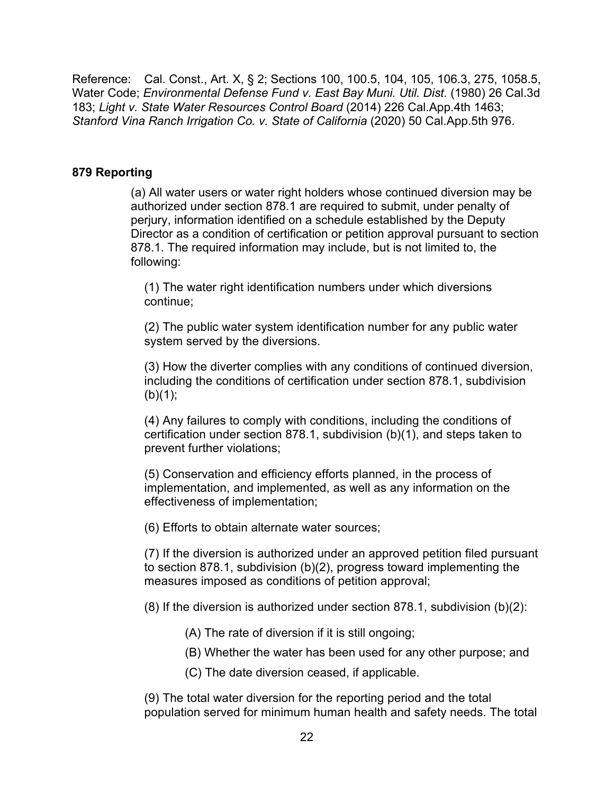Reference: Cal. Const., Art. X, § 2; Sections 100, 100.5, 104, 105, 106.3, 275, 1058.5, Water Code; *Environmental Defense Fund v. East Bay Muni. Util. Dist.* (1980) 26 Cal.3d 183; *Light v. State Water Resources Control Board* (2014) 226 Cal.App.4th 1463; *Stanford Vina Ranch Irrigation Co. v. State of California* (2020) 50 Cal.App.5th 976.

#### **879 Reporting**

(a) All water users or water right holders whose continued diversion may be authorized under section 878.1 are required to submit, under penalty of perjury, information identified on a schedule established by the Deputy Director as a condition of certification or petition approval pursuant to section 878.1. The required information may include, but is not limited to, the following:

(1) The water right identification numbers under which diversions continue;

(2) The public water system identification number for any public water system served by the diversions.

(3) How the diverter complies with any conditions of continued diversion, including the conditions of certification under section 878.1, subdivision  $(b)(1);$ 

(4) Any failures to comply with conditions, including the conditions of certification under section 878.1, subdivision (b)(1), and steps taken to prevent further violations;

(5) Conservation and efficiency efforts planned, in the process of implementation, and implemented, as well as any information on the effectiveness of implementation;

(6) Efforts to obtain alternate water sources;

(7) If the diversion is authorized under an approved petition filed pursuant to section 878.1, subdivision (b)(2), progress toward implementing the measures imposed as conditions of petition approval;

 $(8)$  If the diversion is authorized under section 878.1, subdivision  $(b)(2)$ :

- (A) The rate of diversion if it is still ongoing;
- (B) Whether the water has been used for any other purpose; and
- (C) The date diversion ceased, if applicable.

(9) The total water diversion for the reporting period and the total population served for minimum human health and safety needs. The total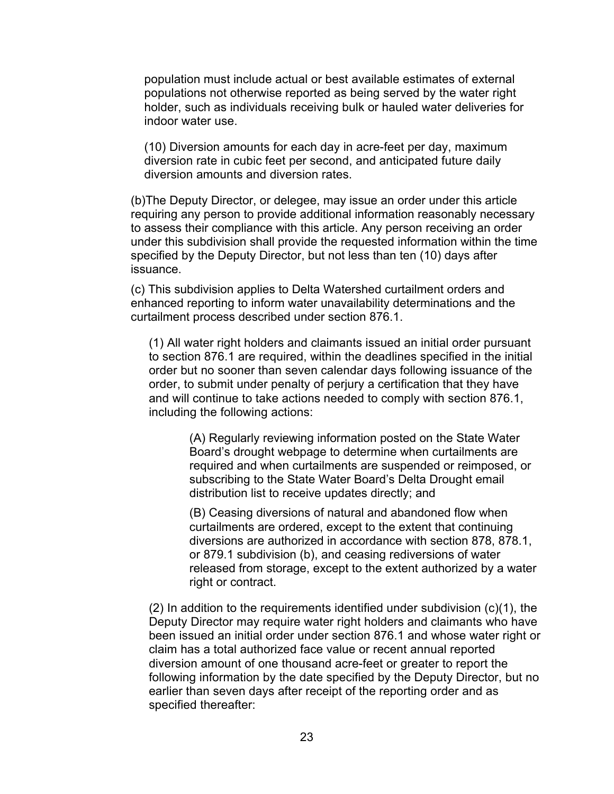population must include actual or best available estimates of external populations not otherwise reported as being served by the water right holder, such as individuals receiving bulk or hauled water deliveries for indoor water use.

(10) Diversion amounts for each day in acre-feet per day, maximum diversion rate in cubic feet per second, and anticipated future daily diversion amounts and diversion rates.

(b)The Deputy Director, or delegee, may issue an order under this article requiring any person to provide additional information reasonably necessary to assess their compliance with this article. Any person receiving an order under this subdivision shall provide the requested information within the time specified by the Deputy Director, but not less than ten (10) days after issuance.

(c) This subdivision applies to Delta Watershed curtailment orders and enhanced reporting to inform water unavailability determinations and the curtailment process described under section 876.1.

(1) All water right holders and claimants issued an initial order pursuant to section 876.1 are required, within the deadlines specified in the initial order but no sooner than seven calendar days following issuance of the order, to submit under penalty of perjury a certification that they have and will continue to take actions needed to comply with section 876.1, including the following actions:

> (A) Regularly reviewing information posted on the State Water Board's drought webpage to determine when curtailments are required and when curtailments are suspended or reimposed, or subscribing to the State Water Board's Delta Drought email distribution list to receive updates directly; and

(B) Ceasing diversions of natural and abandoned flow when curtailments are ordered, except to the extent that continuing diversions are authorized in accordance with section 878, 878.1, or 879.1 subdivision (b), and ceasing rediversions of water released from storage, except to the extent authorized by a water right or contract.

 $(2)$  In addition to the requirements identified under subdivision  $(c)(1)$ , the Deputy Director may require water right holders and claimants who have been issued an initial order under section 876.1 and whose water right or claim has a total authorized face value or recent annual reported diversion amount of one thousand acre-feet or greater to report the following information by the date specified by the Deputy Director, but no earlier than seven days after receipt of the reporting order and as specified thereafter: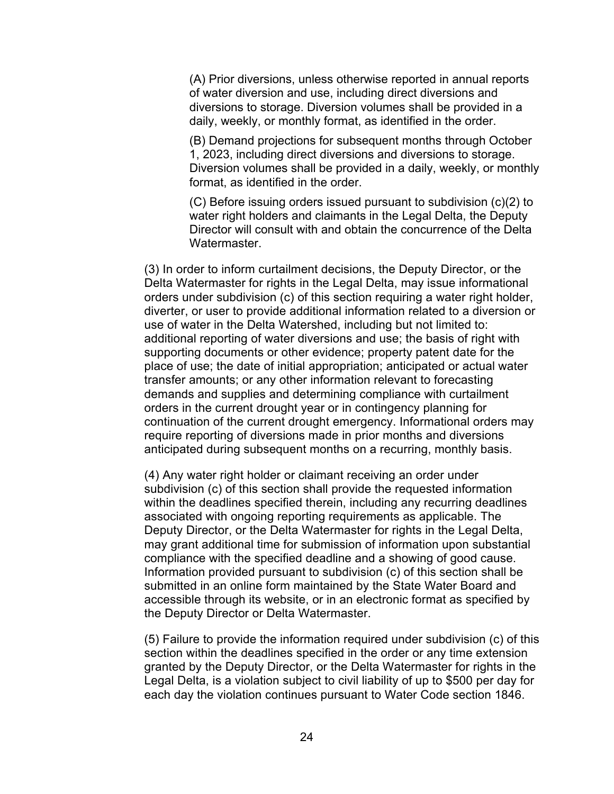(A) Prior diversions, unless otherwise reported in annual reports of water diversion and use, including direct diversions and diversions to storage. Diversion volumes shall be provided in a daily, weekly, or monthly format, as identified in the order.

(B) Demand projections for subsequent months through October 1, 2023, including direct diversions and diversions to storage. Diversion volumes shall be provided in a daily, weekly, or monthly format, as identified in the order.

(C) Before issuing orders issued pursuant to subdivision (c)(2) to water right holders and claimants in the Legal Delta, the Deputy Director will consult with and obtain the concurrence of the Delta Watermaster.

(3) In order to inform curtailment decisions, the Deputy Director, or the Delta Watermaster for rights in the Legal Delta, may issue informational orders under subdivision (c) of this section requiring a water right holder, diverter, or user to provide additional information related to a diversion or use of water in the Delta Watershed, including but not limited to: additional reporting of water diversions and use; the basis of right with supporting documents or other evidence; property patent date for the place of use; the date of initial appropriation; anticipated or actual water transfer amounts; or any other information relevant to forecasting demands and supplies and determining compliance with curtailment orders in the current drought year or in contingency planning for continuation of the current drought emergency. Informational orders may require reporting of diversions made in prior months and diversions anticipated during subsequent months on a recurring, monthly basis.

(4) Any water right holder or claimant receiving an order under subdivision (c) of this section shall provide the requested information within the deadlines specified therein, including any recurring deadlines associated with ongoing reporting requirements as applicable. The Deputy Director, or the Delta Watermaster for rights in the Legal Delta, may grant additional time for submission of information upon substantial compliance with the specified deadline and a showing of good cause. Information provided pursuant to subdivision (c) of this section shall be submitted in an online form maintained by the State Water Board and accessible through its website, or in an electronic format as specified by the Deputy Director or Delta Watermaster.

(5) Failure to provide the information required under subdivision (c) of this section within the deadlines specified in the order or any time extension granted by the Deputy Director, or the Delta Watermaster for rights in the Legal Delta, is a violation subject to civil liability of up to \$500 per day for each day the violation continues pursuant to Water Code section 1846.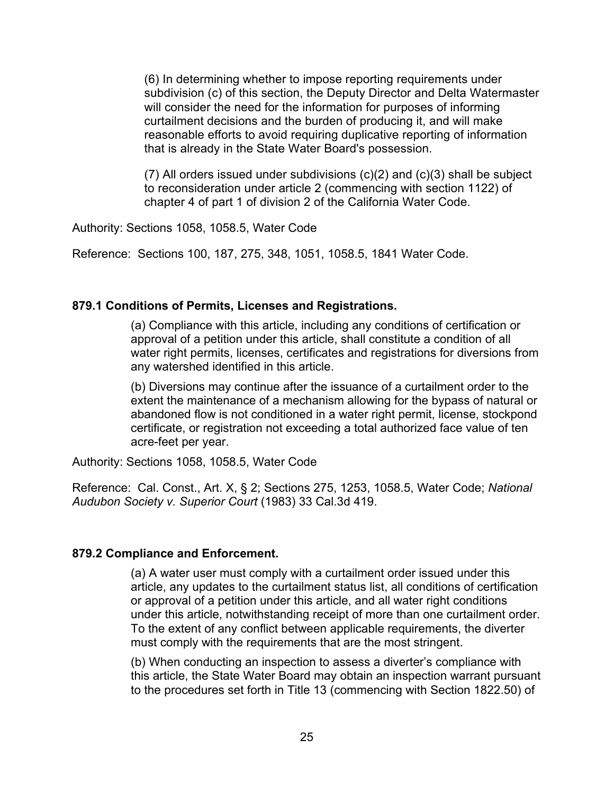(6) In determining whether to impose reporting requirements under subdivision (c) of this section, the Deputy Director and Delta Watermaster will consider the need for the information for purposes of informing curtailment decisions and the burden of producing it, and will make reasonable efforts to avoid requiring duplicative reporting of information that is already in the State Water Board's possession.

(7) All orders issued under subdivisions (c)(2) and (c)(3) shall be subject to reconsideration under article 2 (commencing with section 1122) of chapter 4 of part 1 of division 2 of the California Water Code.

Authority: Sections 1058, 1058.5, Water Code

Reference: Sections 100, 187, 275, 348, 1051, 1058.5, 1841 Water Code.

## **879.1 Conditions of Permits, Licenses and Registrations.**

(a) Compliance with this article, including any conditions of certification or approval of a petition under this article, shall constitute a condition of all water right permits, licenses, certificates and registrations for diversions from any watershed identified in this article.

(b) Diversions may continue after the issuance of a curtailment order to the extent the maintenance of a mechanism allowing for the bypass of natural or abandoned flow is not conditioned in a water right permit, license, stockpond certificate, or registration not exceeding a total authorized face value of ten acre-feet per year.

Authority: Sections 1058, 1058.5, Water Code

Reference: Cal. Const., Art. X, § 2; Sections 275, 1253, 1058.5, Water Code; *National Audubon Society v. Superior Court* (1983) 33 Cal.3d 419.

## **879.2 Compliance and Enforcement.**

(a) A water user must comply with a curtailment order issued under this article, any updates to the curtailment status list, all conditions of certification or approval of a petition under this article, and all water right conditions under this article, notwithstanding receipt of more than one curtailment order. To the extent of any conflict between applicable requirements, the diverter must comply with the requirements that are the most stringent.

(b) When conducting an inspection to assess a diverter's compliance with this article, the State Water Board may obtain an inspection warrant pursuant to the procedures set forth in Title 13 (commencing with Section 1822.50) of